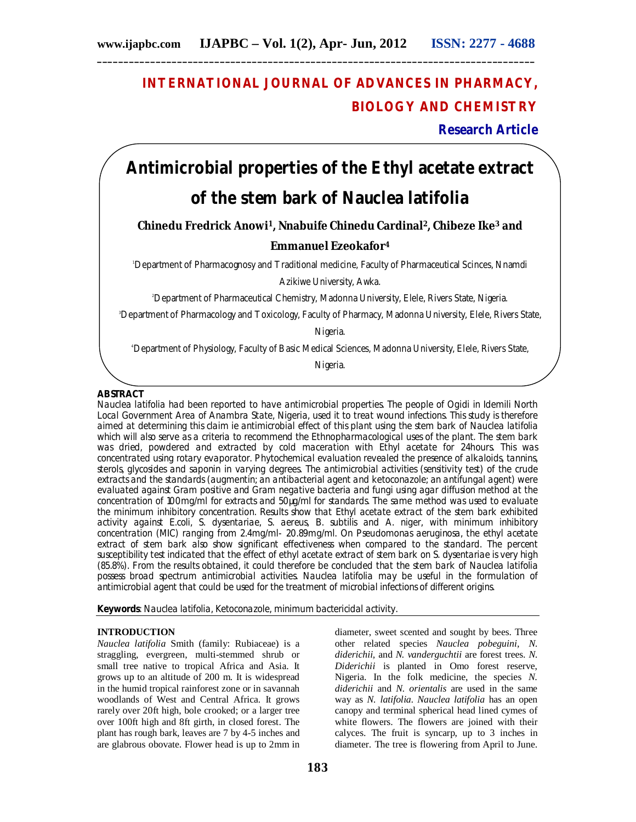## **INTERNATIONAL JOURNAL OF ADVANCES IN PHARMACY, BIOLOGY AND CHEMISTRY**

**Research Article**

# **Antimicrobial properties of the Ethyl acetate extract of the stem bark of Nauclea latifolia**

**Chinedu Fredrick Anowi1, Nnabuife Chinedu Cardinal2, Chibeze Ike<sup>3</sup> and**

## **Emmanuel Ezeokafor<sup>4</sup>**

<sup>1</sup>Department of Pharmacognosy and Traditional medicine, Faculty of Pharmaceutical Scinces, Nnamdi

Azikiwe University, Awka.

<sup>2</sup>Department of Pharmaceutical Chemistry, Madonna University, Elele, Rivers State, Nigeria.

<sup>3</sup>Department of Pharmacology and Toxicology, Faculty of Pharmacy, Madonna University, Elele, Rivers State,

Nigeria.

<sup>4</sup>Department of Physiology, Faculty of Basic Medical Sciences, Madonna University, Elele, Rivers State,

Nigeria.

## **ABSTRACT**

Nauclea latifolia had been reported to have antimicrobial properties. The people of Ogidi in Idemili North Local Government Area of Anambra State, Nigeria, used it to treat wound infections. This study is therefore aimed at determining this claim ie antimicrobial effect of this plant using the stem bark of Nauclea latifolia which will also serve as a criteria to recommend the Ethnopharmacological uses of the plant. The stem bark was dried, powdered and extracted by cold maceration with Ethyl acetate for 24hours. This was concentrated using rotary evaporator. Phytochemical evaluation revealed the presence of alkaloids, tannins, sterols, glycosides and saponin in varying degrees. The antimicrobial activities (sensitivity test) of the crude extracts and the standards (augmentin; an antibacterial agent and ketoconazole; an antifungal agent) were evaluated against Gram positive and Gram negative bacteria and fungi using agar diffusion method at the concentration of 100mg/ml for extracts and 50µg/ml for standards. The same method was used to evaluate the minimum inhibitory concentration. Results show that Ethyl acetate extract of the stem bark exhibited activity against *E.coli, S. dysentariae, S. aereus, B. subtilis and A. niger,* with minimum inhibitory concentration (MIC) ranging from 2.4mg/ml- 20.89mg/ml. On *Pseudomonas aeruginosa,* the ethyl acetate extract of stem bark also show significant effectiveness when compared to the standard. The percent susceptibility test indicated that the effect of ethyl acetate extract of stem bark on *S. dysentariae* is very high (85.8%). From the results obtained, it could therefore be concluded that the stem bark of *Nauclea latifolia*  possess broad spectrum antimicrobial activities. *Nauclea latifolia* may be useful in the formulation of antimicrobial agent that could be used for the treatment of microbial infections of different origins.

**Keywords**: Nauclea latifolia, Ketoconazole, minimum bactericidal activity.

## **INTRODUCTION**

*Nauclea latifolia* Smith (family: Rubiaceae) is a straggling, evergreen, multi-stemmed shrub or small tree native to tropical Africa and Asia. It grows up to an altitude of 200 m. It is widespread in the humid tropical rainforest zone or in savannah woodlands of West and Central Africa. It grows rarely over 20ft high, bole crooked; or a larger tree over 100ft high and 8ft girth, in closed forest. The plant has rough bark, leaves are 7 by 4-5 inches and are glabrous obovate. Flower head is up to 2mm in

diameter, sweet scented and sought by bees. Three other related species *Nauclea pobeguini, N. diderichii,* and *N. vanderguchtii* are forest trees. *N. Diderichii* is planted in Omo forest reserve, Nigeria. In the folk medicine, the species *N. diderichii* and *N. orientalis* are used in the same way as *N. latifolia. Nauclea latifolia* has an open canopy and terminal spherical head lined cymes of white flowers. The flowers are joined with their calyces. The fruit is syncarp, up to 3 inches in diameter. The tree is flowering from April to June.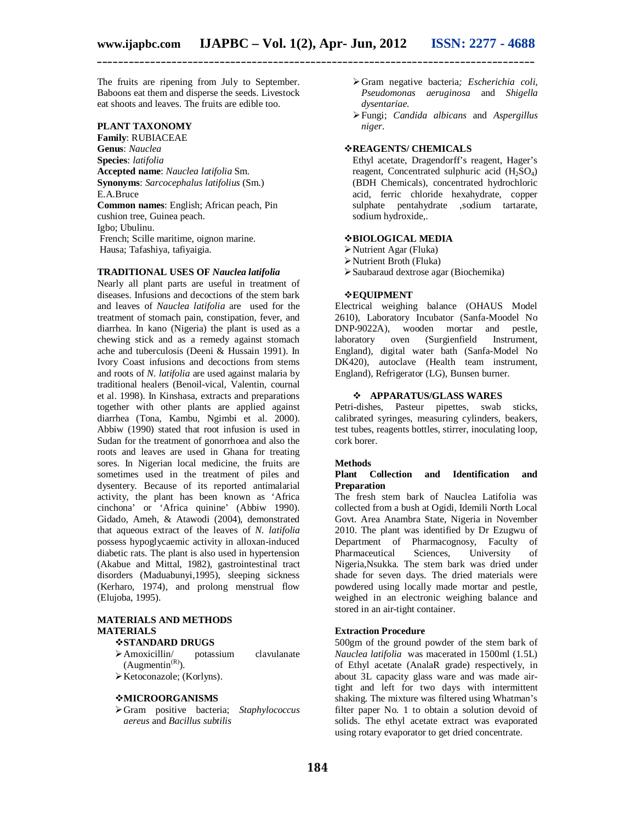The fruits are ripening from July to September. Baboons eat them and disperse the seeds. Livestock eat shoots and leaves. The fruits are edible too.

## **PLANT TAXONOMY**

**Family**: RUBIACEAE **Genus**: *Nauclea* **Species**: *latifolia* **Accepted name**: *Nauclea latifolia* Sm. **Synonyms**: *Sarcocephalus latifolius* (Sm.) E.A.Bruce **Common names**: English; African peach, Pin cushion tree, Guinea peach. Igbo; Ubulinu. French; Scille maritime, oignon marine. Hausa; Tafashiya, tafiyaigia.

#### **TRADITIONAL USES OF** *Nauclea latifolia*

Nearly all plant parts are useful in treatment of diseases. Infusions and decoctions of the stem bark and leaves of *Nauclea latifolia* are used for the treatment of stomach pain, constipation, fever, and diarrhea. In kano (Nigeria) the plant is used as a chewing stick and as a remedy against stomach ache and tuberculosis (Deeni & Hussain 1991). In Ivory Coast infusions and decoctions from stems and roots of *N. latifolia* are used against malaria by traditional healers (Benoil-vical, Valentin, cournal et al. 1998). In Kinshasa, extracts and preparations together with other plants are applied against diarrhea (Tona, Kambu, Ngimbi et al. 2000). Abbiw (1990) stated that root infusion is used in Sudan for the treatment of gonorrhoea and also the roots and leaves are used in Ghana for treating sores. In Nigerian local medicine, the fruits are sometimes used in the treatment of piles and dysentery. Because of its reported antimalarial activity, the plant has been known as 'Africa cinchona' or 'Africa quinine' (Abbiw 1990). Gidado, Ameh, & Atawodi (2004), demonstrated that aqueous extract of the leaves of *N. latifolia* possess hypoglycaemic activity in alloxan-induced diabetic rats. The plant is also used in hypertension (Akabue and Mittal, 1982), gastrointestinal tract disorders (Maduabunyi,1995), sleeping sickness (Kerharo, 1974), and prolong menstrual flow (Elujoba, 1995).

## **MATERIALS AND METHODS MATERIALS**

#### **STANDARD DRUGS**

- Amoxicillin/ potassium clavulanate  $(Augmentin^{(R)})$ .
- $\triangleright$  Ketoconazole; (Korlyns).

#### **MICROORGANISMS**

Gram positive bacteria; *Staphylococcus aereus* and *Bacillus subtilis*

- Gram negative bacteria*; Escherichia coli, Pseudomonas aeruginosa* and *Shigella dysentariae.*
- Fungi; *Candida albicans* and *Aspergillus niger*.

## **REAGENTS/ CHEMICALS**

Ethyl acetate, Dragendorff's reagent, Hager's reagent, Concentrated sulphuric acid  $(H_2SO_4)$ (BDH Chemicals), concentrated hydrochloric acid, ferric chloride hexahydrate, copper sulphate pentahydrate ,sodium tartarate, sodium hydroxide,.

## **BIOLOGICAL MEDIA**

- Nutrient Agar (Fluka)
- Nutrient Broth (Fluka)
- Saubaraud dextrose agar (Biochemika)

#### **EQUIPMENT**

Electrical weighing balance (OHAUS Model 2610), Laboratory Incubator (Sanfa-Moodel No DNP-9022A), wooden mortar and pestle, laboratory oven (Surgienfield Instrument, England), digital water bath (Sanfa-Model No DK420), autoclave (Health team instrument, England), Refrigerator (LG), Bunsen burner.

#### **APPARATUS/GLASS WARES**

Petri-dishes, Pasteur pipettes, swab sticks, calibrated syringes, measuring cylinders, beakers, test tubes, reagents bottles, stirrer, inoculating loop, cork borer.

#### **Methods**

### **Plant Collection and Identification and Preparation**

The fresh stem bark of Nauclea Latifolia was collected from a bush at Ogidi, Idemili North Local Govt. Area Anambra State, Nigeria in November 2010. The plant was identified by Dr Ezugwu of Department of Pharmacognosy, Faculty of Pharmaceutical Sciences, University of Nigeria,Nsukka. The stem bark was dried under shade for seven days. The dried materials were powdered using locally made mortar and pestle, weighed in an electronic weighing balance and stored in an air-tight container.

#### **Extraction Procedure**

500gm of the ground powder of the stem bark of *Nauclea latifolia* was macerated in 1500ml (1.5L) of Ethyl acetate (AnalaR grade) respectively, in about 3L capacity glass ware and was made airtight and left for two days with intermittent shaking. The mixture was filtered using Whatman's filter paper No. 1 to obtain a solution devoid of solids. The ethyl acetate extract was evaporated using rotary evaporator to get dried concentrate.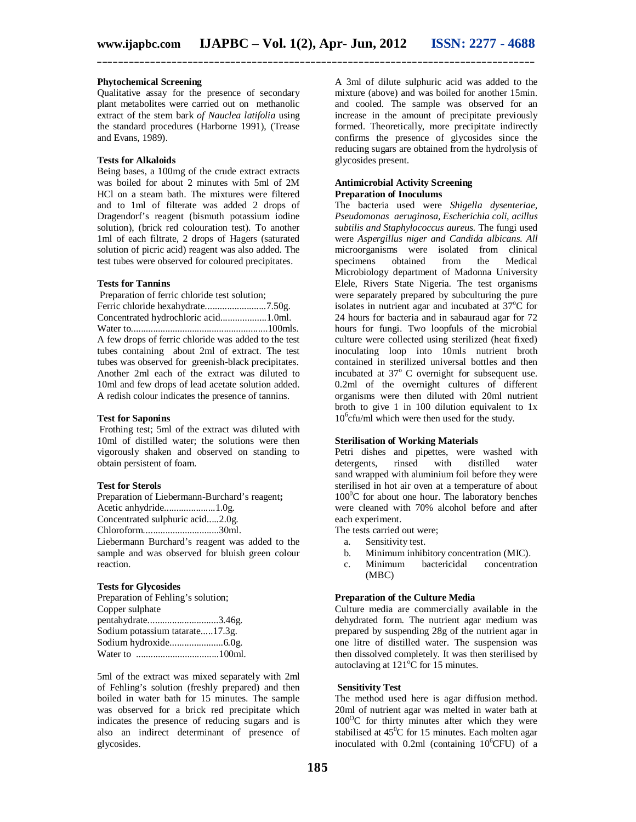#### **Phytochemical Screening**

Qualitative assay for the presence of secondary plant metabolites were carried out on methanolic extract of the stem bark *of Nauclea latifolia* using the standard procedures (Harborne 1991), (Trease and Evans, 1989).

### **Tests for Alkaloids**

Being bases, a 100mg of the crude extract extracts was boiled for about 2 minutes with 5ml of 2M HCl on a steam bath. The mixtures were filtered and to 1ml of filterate was added 2 drops of Dragendorf's reagent (bismuth potassium iodine solution), (brick red colouration test). To another 1ml of each filtrate, 2 drops of Hagers (saturated solution of picric acid) reagent was also added. The test tubes were observed for coloured precipitates.

#### **Tests for Tannins**

Preparation of ferric chloride test solution; Ferric chloride hexahydrate.........................7.50g. Concentrated hydrochloric acid...................1.0ml. Water to........................................................100mls. A few drops of ferric chloride was added to the test tubes containing about 2ml of extract. The test tubes was observed for greenish-black precipitates. Another 2ml each of the extract was diluted to 10ml and few drops of lead acetate solution added. A redish colour indicates the presence of tannins.

#### **Test for Saponins**

Frothing test; 5ml of the extract was diluted with 10ml of distilled water; the solutions were then vigorously shaken and observed on standing to obtain persistent of foam.

#### **Test for Sterols**

Preparation of Liebermann-Burchard's reagent**;**

Acetic anhydride.....................1.0g.

Concentrated sulphuric acid.....2.0g.

Chloroform...............................30ml.

Liebermann Burchard's reagent was added to the sample and was observed for bluish green colour reaction.

#### **Tests for Glycosides**

Preparation of Fehling's solution; Copper sulphate pentahydrate.............................3.46g. Sodium potassium tatarate.....17.3g. Sodium hydroxide......................6.0g. Water to ..................................100ml.

5ml of the extract was mixed separately with 2ml of Fehling's solution (freshly prepared) and then boiled in water bath for 15 minutes. The sample was observed for a brick red precipitate which indicates the presence of reducing sugars and is also an indirect determinant of presence of glycosides.

A 3ml of dilute sulphuric acid was added to the mixture (above) and was boiled for another 15min. and cooled. The sample was observed for an increase in the amount of precipitate previously formed. Theoretically, more precipitate indirectly confirms the presence of glycosides since the reducing sugars are obtained from the hydrolysis of glycosides present.

#### **Antimicrobial Activity Screening Preparation of Inoculums**

The bacteria used were *Shigella dysenteriae, Pseudomonas aeruginosa, Escherichia coli, acillus subtilis and Staphylococcus aureus.* The fungi used were *Aspergillus niger and Candida albicans. All*  microorganisms were isolated from clinical<br>specimens obtained from the Medical obtained from the Medical Microbiology department of Madonna University Elele, Rivers State Nigeria. The test organisms were separately prepared by subculturing the pure isolates in nutrient agar and incubated at  $37^{\circ}$ C for 24 hours for bacteria and in sabauraud agar for 72 hours for fungi. Two loopfuls of the microbial culture were collected using sterilized (heat fixed) inoculating loop into 10mls nutrient broth contained in sterilized universal bottles and then incubated at  $37^{\circ}$  C overnight for subsequent use. 0.2ml of the overnight cultures of different organisms were then diluted with 20ml nutrient broth to give 1 in 100 dilution equivalent to 1x 10<sup>6</sup>cfu/ml which were then used for the study.

#### **Sterilisation of Working Materials**

Petri dishes and pipettes, were washed with detergents, rinsed with distilled water sand wrapped with aluminium foil before they were sterilised in hot air oven at a temperature of about  $100^0C$  for about one hour. The laboratory benches were cleaned with 70% alcohol before and after each experiment.

- The tests carried out were;
	- a. Sensitivity test.
	- b. Minimum inhibitory concentration (MIC).
	- c. Minimum bactericidal concentration (MBC)

#### **Preparation of the Culture Media**

Culture media are commercially available in the dehydrated form. The nutrient agar medium was prepared by suspending 28g of the nutrient agar in one litre of distilled water. The suspension was then dissolved completely. It was then sterilised by autoclaving at  $121^{\circ}$ C for 15 minutes.

#### **Sensitivity Test**

The method used here is agar diffusion method. 20ml of nutrient agar was melted in water bath at  $100^{\circ}$ C for thirty minutes after which they were stabilised at  $45^{\circ}$ C for 15 minutes. Each molten agar inoculated with  $0.2$ ml (containing  $10^{6}$ CFU) of a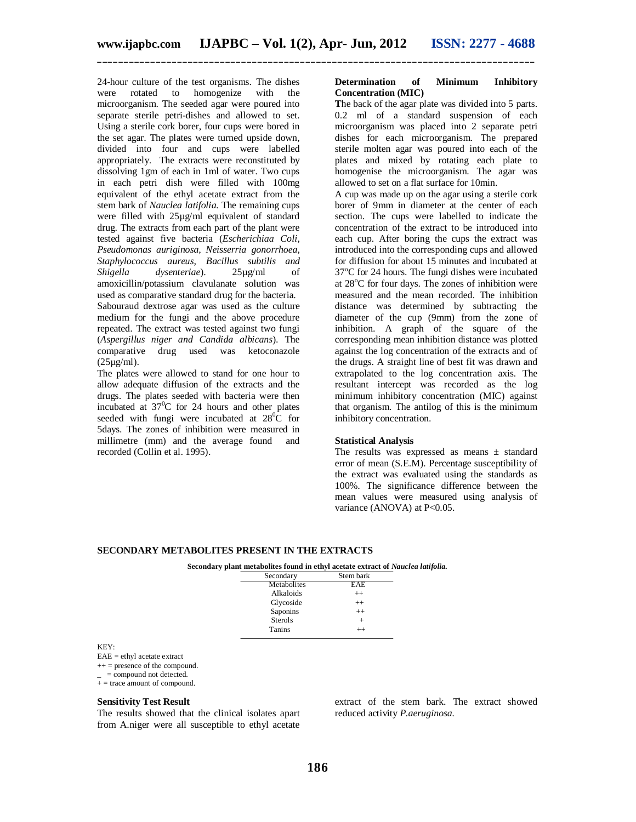24-hour culture of the test organisms. The dishes were rotated to homogenize with the microorganism. The seeded agar were poured into separate sterile petri-dishes and allowed to set. Using a sterile cork borer, four cups were bored in the set agar. The plates were turned upside down, divided into four and cups were labelled appropriately. The extracts were reconstituted by dissolving 1gm of each in 1ml of water. Two cups in each petri dish were filled with 100mg equivalent of the ethyl acetate extract from the stem bark of *Nauclea latifolia.* The remaining cups were filled with 25µg/ml equivalent of standard drug. The extracts from each part of the plant were tested against five bacteria (*Escherichiaa Coli, Pseudomonas auriginosa, Neisserria gonorrhoea, Staphylococcus aureus, Bacillus subtilis and Shigella dysenteriae*). 25µg/ml of amoxicillin/potassium clavulanate solution was used as comparative standard drug for the bacteria. Sabouraud dextrose agar was used as the culture medium for the fungi and the above procedure repeated. The extract was tested against two fungi (*Aspergillus niger and Candida albicans*). The comparative drug used was ketoconazole (25µg/ml).

The plates were allowed to stand for one hour to allow adequate diffusion of the extracts and the drugs. The plates seeded with bacteria were then incubated at  $37^{\circ}$ C for 24 hours and other plates seeded with fungi were incubated at  $28\degree C$  for 5days. The zones of inhibition were measured in millimetre (mm) and the average found and recorded (Collin et al. 1995).

#### **Determination of Minimum Inhibitory Concentration (MIC)**

**T**he back of the agar plate was divided into 5 parts. 0.2 ml of a standard suspension of each microorganism was placed into 2 separate petri dishes for each microorganism. The prepared sterile molten agar was poured into each of the plates and mixed by rotating each plate to homogenise the microorganism. The agar was allowed to set on a flat surface for 10min.

A cup was made up on the agar using a sterile cork borer of 9mm in diameter at the center of each section. The cups were labelled to indicate the concentration of the extract to be introduced into each cup. After boring the cups the extract was introduced into the corresponding cups and allowed for diffusion for about 15 minutes and incubated at  $37^{\circ}$ C for 24 hours. The fungi dishes were incubated at  $28^{\circ}$ C for four days. The zones of inhibition were measured and the mean recorded. The inhibition distance was determined by subtracting the diameter of the cup (9mm) from the zone of inhibition. A graph of the square of the corresponding mean inhibition distance was plotted against the log concentration of the extracts and of the drugs. A straight line of best fit was drawn and extrapolated to the log concentration axis. The resultant intercept was recorded as the log minimum inhibitory concentration (MIC) against that organism. The antilog of this is the minimum inhibitory concentration.

#### **Statistical Analysis**

The results was expressed as means  $\pm$  standard error of mean (S.E.M). Percentage susceptibility of the extract was evaluated using the standards as 100%. The significance difference between the mean values were measured using analysis of variance (ANOVA) at P<0.05.

#### **SECONDARY METABOLITES PRESENT IN THE EXTRACTS**

#### **Secondary plant metabolites found in ethyl acetate extract of** *Nauclea latifolia.*

| Secondary      | Stem bark |
|----------------|-----------|
| Metabolites    | EAE       |
| Alkaloids      | $^{++}$   |
| Glycoside      | $^{++}$   |
| Saponins       | $^{++}$   |
| <b>Sterols</b> |           |
| Tanins         | $^{++}$   |
|                |           |

KEY:

EAE = ethyl acetate extract

 $++$  = presence of the compound.

 $+$  = trace amount of compound.

#### **Sensitivity Test Result**

The results showed that the clinical isolates apart from A.niger were all susceptible to ethyl acetate extract of the stem bark. The extract showed reduced activity *P.aeruginosa.*

<sup>=</sup> compound not detected.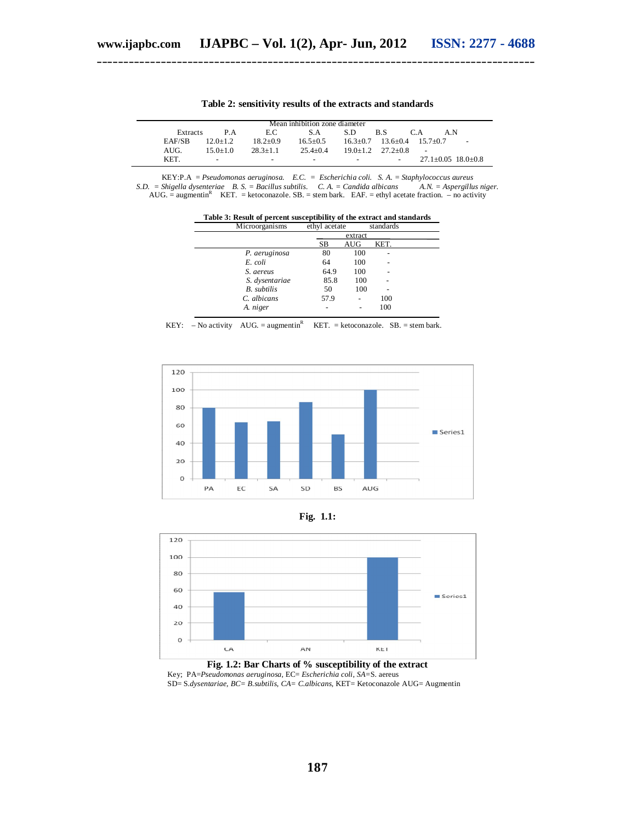|          |              |                          | Mean inhibition zone diameter |      |                          |                                  |                          |
|----------|--------------|--------------------------|-------------------------------|------|--------------------------|----------------------------------|--------------------------|
| Extracts | P A          | E.C.                     | S.A                           | S.D. | B.S                      | C A<br>A N                       |                          |
| EAF/SB   | $12.0 + 1.2$ | $18.2 + 0.9$             | $16.5 + 0.5$                  |      |                          | $16.3+0.7$ $13.6+0.4$ $15.7+0.7$ | $\overline{\phantom{a}}$ |
| AUG.     | $150+10$     | $28.3 + 1.1$             | $25.4 + 0.4$                  |      | $19.0+1.2$ $27.2+0.8$    |                                  |                          |
| KET.     | -            | $\overline{\phantom{0}}$ | $\overline{\phantom{0}}$      |      | $\overline{\phantom{a}}$ | $27.1 \pm 0.05$ 18.0 $\pm$ 0.8   |                          |

**Table 2: sensitivity results of the extracts and standards**

KEY:P.A = *Pseudomonas aeruginosa. E.C. = Escherichia coli. S. A. = Staphylococcus aureus S.D. = Shigella dysenteriae B. S. = Bacillus subtilis. C. A. = Candida albicans* AUG. = augmentin<sup>R</sup> KET. = ketoconazole. SB. = stem bark. EAF. = ethyl acetate fraction. – no activity

**Table 3: Result of percent susceptibility of the extract and standards**<br>Microorganisms ethyl acetate standards

| Microorganisms     | ethyl acetate |            | standards |  |
|--------------------|---------------|------------|-----------|--|
|                    |               | extract    |           |  |
|                    | SВ            | <b>AUG</b> | KET.      |  |
| P. aeruginosa      | 80            | 100        |           |  |
| E. coli            | 64            | 100        |           |  |
| S. aereus          | 64.9          | 100        |           |  |
| S. dysentariae     | 85.8          | 100        |           |  |
| <b>B.</b> subtilis | 50            | 100        |           |  |
| C. albicans        | 57.9          |            | 100       |  |
| A. niger           |               |            | 100       |  |

|  |  |  | KEY: $-$ No activity AUG. = augmentin <sup>R</sup> KET. = ketoconazole. SB. = stem bark. |  |
|--|--|--|------------------------------------------------------------------------------------------|--|
|--|--|--|------------------------------------------------------------------------------------------|--|



**Fig. 1.1:**



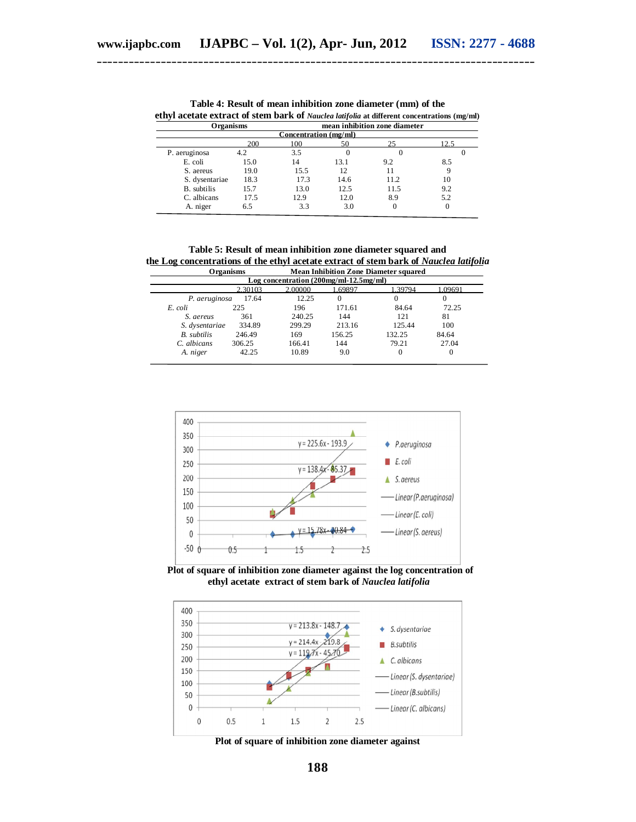| <b>Organisms</b> |      |                       |          | mean inhibition zone diameter |      |
|------------------|------|-----------------------|----------|-------------------------------|------|
|                  |      | Concentration (mg/ml) |          |                               |      |
|                  | 200  | 100                   | 50       | 25                            | 12.5 |
| P. aeruginosa    | 4.2  | 3.5                   | $\theta$ |                               |      |
| E. coli          | 15.0 | 14                    | 13.1     | 9.2                           | 8.5  |
| S. aereus        | 19.0 | 15.5                  | 12       |                               |      |
| S. dysentariae   | 18.3 | 17.3                  | 14.6     | 11.2                          | 10   |
| B. subtilis      | 15.7 | 13.0                  | 12.5     | 11.5                          | 9.2  |
| C. albicans      | 17.5 | 12.9                  | 12.0     | 8.9                           | 5.2  |
| A. niger         | 6.5  | 3.3                   | 3.0      | 0                             | 0    |

**Table 4: Result of mean inhibition zone diameter (mm) of the ethyl acetate extract of stem bark of** *Nauclea latifolia* **at different concentrations (mg/ml)**

**Table 5: Result of mean inhibition zone diameter squared and the Log concentrations of the ethyl acetate extract of stem bark of** *Nauclea latifolia***<br>Organisms Mean Inhibition Zone Diameter squared Mean Inhibition Zone Diameter squared** 

|                |         |                                            | niyaan muuqaan loong Daaniyah suuulgu |          |         |
|----------------|---------|--------------------------------------------|---------------------------------------|----------|---------|
|                |         | Log concentration $(200mg/ml - 12.5mg/ml)$ |                                       |          |         |
|                | 2.30103 | 2.00000                                    | .69897                                | 1.39794  | 1.09691 |
| P. aeruginosa  | 17.64   | 12.25                                      |                                       | $^{(1)}$ |         |
| E. coli        | 225     | 196                                        | 171.61                                | 84.64    | 72.25   |
| S. aereus      | 361     | 240.25                                     | 144                                   | 121      | 81      |
| S. dysentariae | 334.89  | 299.29                                     | 213.16                                | 125.44   | 100     |
| B. subtilis    | 246.49  | 169                                        | 156.25                                | 132.25   | 84.64   |
| C. albicans    | 306.25  | 166.41                                     | 144                                   | 79.21    | 27.04   |
| A. niger       | 42.25   | 10.89                                      | 9.0                                   | 0        | 0       |



 **Plot of square of inhibition zone diameter against the log concentration of ethyl acetate extract of stem bark of** *Nauclea latifolia*



**Plot of square of inhibition zone diameter against**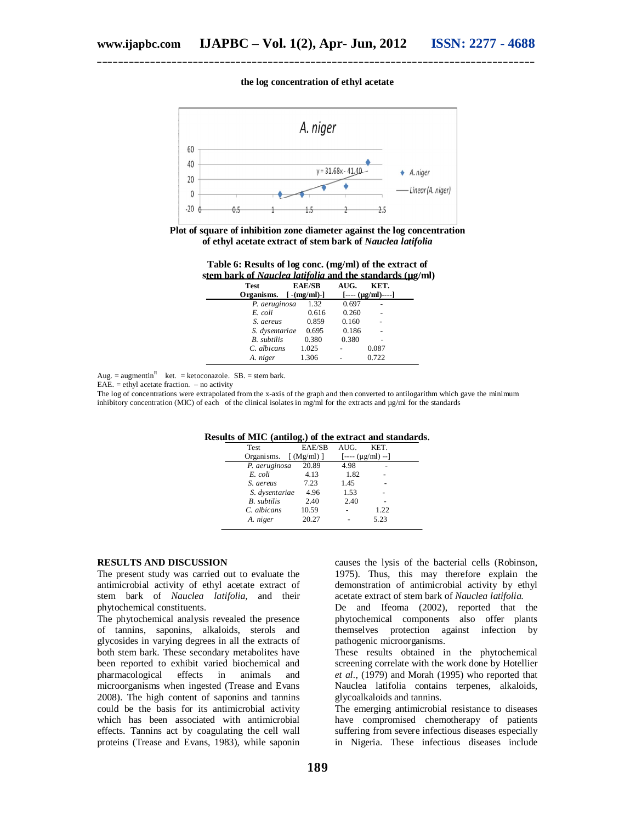#### **the log concentration of ethyl acetate**



**Plot of square of inhibition zone diameter against the log concentration of ethyl acetate extract of stem bark of** *Nauclea latifolia*

| Table 6: Results of log conc. (mg/ml) of the extract of         |  |  |
|-----------------------------------------------------------------|--|--|
| stem bark of <i>Nauclea latifolia</i> and the standards (ug/ml) |  |  |

| <b>Test</b>        | <b>EAE/SB</b>               | AUG.  | KET.             |  |
|--------------------|-----------------------------|-------|------------------|--|
| Organisms.         | $\lceil - (mg/ml) - \rceil$ |       | $[- (µg/ml)---]$ |  |
| P. aeruginosa      | 1.32                        | 0.697 |                  |  |
| E. coli            | 0.616                       | 0.260 |                  |  |
| S. aereus          | 0.859                       | 0.160 |                  |  |
| S. dysentariae     | 0.695                       | 0.186 |                  |  |
| <b>B.</b> subtilis | 0.380                       | 0.380 |                  |  |
| C. albicans        | 1.025                       |       | 0.087            |  |
| A. niger           | 1.306                       |       | 0.722            |  |

Aug. = augmentin<sup>R</sup> ket. = ketoconazole. SB. = stem bark.

EAE.  $=$  ethyl acetate fraction.  $-$  no activity

The log of concentrations were extrapolated from the x-axis of the graph and then converted to antilogarithm which gave the minimum inhibitory concentration (MIC) of each of the clinical isolates in mg/ml for the extracts and  $\mu$ g/ml for the standards

| <b>Test</b>        | EAE/SB                    | AIIG.              | KET. |  |
|--------------------|---------------------------|--------------------|------|--|
| Organisms.         | $\lceil$ (Mg/ml) $\rceil$ | $[- - (µg/ml) - ]$ |      |  |
| P. aeruginosa      | 20.89                     | 4.98               |      |  |
| E. coli            | 4.13                      | 1.82               |      |  |
| S. aereus          | 7.23                      | 1.45               |      |  |
| S. dysentariae     | 4.96                      | 1.53               |      |  |
| <b>B.</b> subtilis | 2.40                      | 2.40               |      |  |
| C. albicans        | 10.59                     |                    | 1.22 |  |
| A. niger           | 20.27                     |                    | 5.23 |  |

**Results of MIC (antilog.) of the extract and standards**.

#### **RESULTS AND DISCUSSION**

The present study was carried out to evaluate the antimicrobial activity of ethyl acetate extract of stem bark of *Nauclea latifolia,* and their phytochemical constituents.

The phytochemical analysis revealed the presence of tannins, saponins, alkaloids, sterols and glycosides in varying degrees in all the extracts of both stem bark. These secondary metabolites have been reported to exhibit varied biochemical and<br>pharmacological effects in animals and pharmacological effects in animals and microorganisms when ingested (Trease and Evans 2008). The high content of saponins and tannins could be the basis for its antimicrobial activity which has been associated with antimicrobial effects. Tannins act by coagulating the cell wall proteins (Trease and Evans, 1983), while saponin

causes the lysis of the bacterial cells (Robinson, 1975). Thus, this may therefore explain the demonstration of antimicrobial activity by ethyl acetate extract of stem bark of *Nauclea latifolia*.

De and Ifeoma (2002), reported that the phytochemical components also offer plants themselves protection against infection by pathogenic microorganisms.

These results obtained in the phytochemical screening correlate with the work done by Hotellier *et al.,* (1979) and Morah (1995) who reported that Nauclea latifolia contains terpenes, alkaloids, glycoalkaloids and tannins.

The emerging antimicrobial resistance to diseases have compromised chemotherapy of patients suffering from severe infectious diseases especially in Nigeria. These infectious diseases include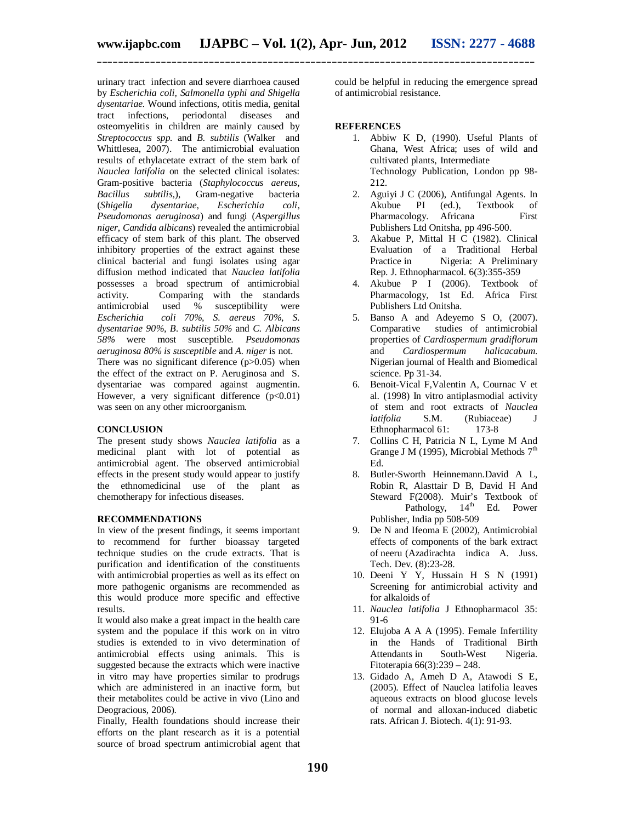urinary tract infection and severe diarrhoea caused by *Escherichia coli, Salmonella typhi and Shigella dysentariae.* Wound infections, otitis media, genital tract infections, periodontal diseases and osteomyelitis in children are mainly caused by *Streptococcus spp.* and *B. subtilis* (Walker and Whittlesea, 2007). The antimicrobial evaluation results of ethylacetate extract of the stem bark of *Nauclea latifolia* on the selected clinical isolates: Gram-positive bacteria (*Staphylococcus aereus, Bacillus subtilis,*), Gram-negative bacteria (*Shigella dysentariae, Escherichia coli, Pseudomonas aeruginosa*) and fungi (*Aspergillus niger, Candida albicans*) revealed the antimicrobial efficacy of stem bark of this plant. The observed inhibitory properties of the extract against these clinical bacterial and fungi isolates using agar diffusion method indicated that *Nauclea latifolia*  possesses a broad spectrum of antimicrobial activity. Comparing with the standards<br>antimicrobial used % susceptibility were antimicrobial used % susceptibility were *Escherichia coli 70%, S. aereus 70%, S. dysentariae 90%, B. subtilis 50%* and *C. Albicans 58%* were most susceptible*. Pseudomonas aeruginosa 80% is susceptible* and *A. niger* is not. There was no significant diference  $(p>0.05)$  when the effect of the extract on P. Aeruginosa and S. dysentariae was compared against augmentin. However, a very significant difference  $(p<0.01)$ was seen on any other microorganism.

## **CONCLUSION**

The present study shows *Nauclea latifolia* as a medicinal plant with lot of potential as antimicrobial agent. The observed antimicrobial effects in the present study would appear to justify the ethnomedicinal use of the plant as chemotherapy for infectious diseases.

## **RECOMMENDATIONS**

In view of the present findings, it seems important to recommend for further bioassay targeted technique studies on the crude extracts. That is purification and identification of the constituents with antimicrobial properties as well as its effect on more pathogenic organisms are recommended as this would produce more specific and effective results.

It would also make a great impact in the health care system and the populace if this work on in vitro studies is extended to in vivo determination of antimicrobial effects using animals. This is suggested because the extracts which were inactive in vitro may have properties similar to prodrugs which are administered in an inactive form, but their metabolites could be active in vivo (Lino and Deogracious, 2006).

Finally, Health foundations should increase their efforts on the plant research as it is a potential source of broad spectrum antimicrobial agent that

could be helpful in reducing the emergence spread of antimicrobial resistance.

## **REFERENCES**

- 1. Abbiw K D, (1990). Useful Plants of Ghana, West Africa; uses of wild and cultivated plants, Intermediate Technology Publication, London pp 98- 212.
- 2. Aguiyi J C (2006), Antifungal Agents. In Akubue PI (ed.), Textbook of Pharmacology. Africana First Publishers Ltd Onitsha, pp 496-500.
- 3. Akabue P, Mittal H C (1982). Clinical Evaluation of a Traditional Herbal Practice in Migeria: A Preliminary Rep. J. Ethnopharmacol. 6(3):355-359
- 4. Akubue P I (2006). Textbook of Pharmacology, 1st Ed. Africa First Publishers Ltd Onitsha.
- 5. Banso A and Adeyemo S O, (2007). Comparative studies of antimicrobial properties of *Cardiospermum gradiflorum*  and *Cardiospermum halicacabum.*  Nigerian journal of Health and Biomedical science. Pp 31-34.
- 6. Benoit-Vical F,Valentin A, Cournac V et al. (1998) In vitro antiplasmodial activity of stem and root extracts of *Nauclea (Rubiaceae)* 173-8 Ethnopharmacol 61:
- 7. Collins C H, Patricia N L, Lyme M And Grange J M (1995), Microbial Methods  $7<sup>th</sup>$ Ed.
- 8. Butler-Sworth Heinnemann.David A L, Robin R, Alasttair D B, David H And Steward F(2008). Muir's Textbook of<br>Pathology, 14<sup>th</sup> Ed. Power Pathology,  $14<sup>th</sup>$ Publisher, India pp 508-509
- 9. De N and Ifeoma E (2002), Antimicrobial effects of components of the bark extract of neeru (Azadirachta indica A. Juss. Tech. Dev*.* (8):23-28.
- 10. Deeni Y Y, Hussain H S N (1991) Screening for antimicrobial activity and for alkaloids of
- 11. *Nauclea latifolia* J Ethnopharmacol 35: 91-6
- 12. Elujoba A A A (1995). Female Infertility in the Hands of Traditional Birth<br>Attendants in South-West Nigeria. Attendants in South-West Fitoterapia 66(3):239 – 248.
- 13. Gidado A, Ameh D A, Atawodi S E, (2005). Effect of Nauclea latifolia leaves aqueous extracts on blood glucose levels of normal and alloxan-induced diabetic rats. African J. Biotech. 4(1): 91-93.